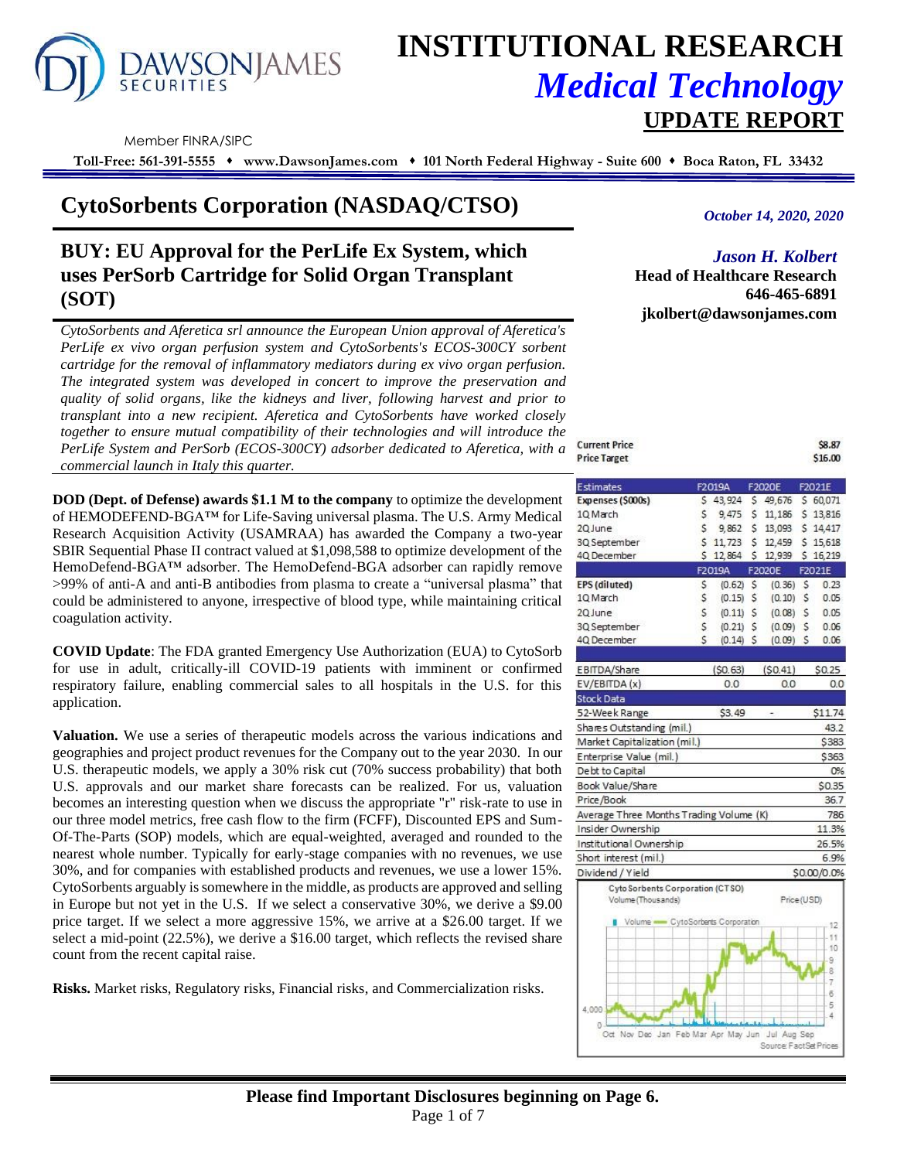

# **INSTITUTIONAL RESEARCH** *Medical Technology*  **UPDATE REPORT**

**Current Price** 

30 September

40 December

Member FINRA/SIPC

**Toll-Free: 561-391-5555** ⬧ **www.DawsonJames.com** ⬧ **101 North Federal Highway - Suite 600** ⬧ **Boca Raton, FL 33432**

## **CytoSorbents Corporation (NASDAQ/CTSO)**

## **BUY: EU Approval for the PerLife Ex System, which uses PerSorb Cartridge for Solid Organ Transplant (SOT)**

*CytoSorbents and Aferetica srl announce the European Union approval of Aferetica's PerLife ex vivo organ perfusion system and CytoSorbents's ECOS-300CY sorbent cartridge for the removal of inflammatory mediators during ex vivo organ perfusion. The integrated system was developed in concert to improve the preservation and quality of solid organs, like the kidneys and liver, following harvest and prior to transplant into a new recipient. Aferetica and CytoSorbents have worked closely together to ensure mutual compatibility of their technologies and will introduce the PerLife System and PerSorb (ECOS-300CY) adsorber dedicated to Aferetica, with a commercial launch in Italy this quarter.*

**DOD (Dept. of Defense) awards \$1.1 M to the company** to optimize the development of HEMODEFEND-BGA™ for Life-Saving universal plasma. The U.S. Army Medical Research Acquisition Activity (USAMRAA) has awarded the Company a two-year SBIR Sequential Phase II contract valued at \$1,098,588 to optimize development of the HemoDefend-BGA™ adsorber. The HemoDefend-BGA adsorber can rapidly remove >99% of anti-A and anti-B antibodies from plasma to create a "universal plasma" that could be administered to anyone, irrespective of blood type, while maintaining critical coagulation activity.

**COVID Update**: The FDA granted Emergency Use Authorization (EUA) to CytoSorb for use in adult, critically-ill COVID-19 patients with imminent or confirmed respiratory failure, enabling commercial sales to all hospitals in the U.S. for this application.

**Valuation.** We use a series of therapeutic models across the various indications and geographies and project product revenues for the Company out to the year 2030. In our U.S. therapeutic models, we apply a 30% risk cut (70% success probability) that both U.S. approvals and our market share forecasts can be realized. For us, valuation becomes an interesting question when we discuss the appropriate "r" risk-rate to use in our three model metrics, free cash flow to the firm (FCFF), Discounted EPS and Sum-Of-The-Parts (SOP) models, which are equal-weighted, averaged and rounded to the nearest whole number. Typically for early-stage companies with no revenues, we use 30%, and for companies with established products and revenues, we use a lower 15%. CytoSorbents arguably is somewhere in the middle, as products are approved and selling in Europe but not yet in the U.S. If we select a conservative 30%, we derive a \$9.00 price target. If we select a more aggressive 15%, we arrive at a \$26.00 target. If we select a mid-point (22.5%), we derive a \$16.00 target, which reflects the revised share count from the recent capital raise.

**Risks.** Market risks, Regulatory risks, Financial risks, and Commercialization risks.

### *October 14, 2020, 2020*

## *Jason H. Kolbert*

\$8.87

 $0.06$ 

 $0.06$ 

**Head of Healthcare Research 646-465-6891 jkolbert@dawsonjames.com**

| <b>Price Target</b> |    |             |   |                               |   | \$16.00  |
|---------------------|----|-------------|---|-------------------------------|---|----------|
| <b>Estimates</b>    |    | F2019A      |   | F2020E                        |   | F2021E   |
| Expenses (\$000s)   |    | \$43,924    |   | \$49,676 \$60,071             |   |          |
| 1Q March            | Ś. | 9,475       |   | $5$ 11,186                    |   | \$13,816 |
| 2Q June             | Ś. | 9.862       | s | 13,093                        |   | \$14.417 |
| 3Q September        |    | $5$ 11, 723 |   | \$12,459                      |   | \$15,618 |
| 4Q December         |    |             |   | \$ 12,864 \$ 12,939 \$ 16,219 |   |          |
|                     |    | F2019A      |   | F2020E                        |   | F2021E   |
| EPS (diluted)       | Ś. | (0.62)      | Ś | (0.36)                        | S | 0.23     |
| 10 March            | \$ | (0.15)      | Ś | (0.10)                        | S | 0.05     |
| 20 June             | \$ | (0.11)      | Ś | (0.08)                        | Ś | 0.05     |

 $\dot{\mathsf{s}}$ 

 $(0.21)$  \$

 $(0.14)$  \$

 $(0.09)$  \$

 $(0.09)$  S

| EBITDA/Share                                           | (S0.63) | (S0.41)    | \$0.25      |
|--------------------------------------------------------|---------|------------|-------------|
| EV/EBITDA (x)                                          | 0.0     | 0.0        | 0.0         |
| <b>Stock Data</b>                                      |         |            |             |
| 52-Week Range                                          | \$3.49  |            | \$11.74     |
| Shares Outstanding (mil.)                              |         |            | 43.2        |
| Market Capitalization (mil.)                           |         |            | \$383       |
| Enterprise Value (mil.)                                |         |            | \$363       |
| Debt to Capital                                        |         |            | 0%          |
| Book Value/Share                                       |         |            | \$0.35      |
| Price/Book                                             |         |            | 36.7        |
| Average Three Months Trading Volume (K)                |         |            | 786         |
| Insider Ownership                                      |         |            | 11.3%       |
| Institutional Ownership                                |         |            | 26.5%       |
| Short interest (mil.)                                  |         |            | 6.9%        |
| Dividend / Yield                                       |         |            | \$0.00/0.0% |
| Cyto Sorbents Corporation (CTSO)<br>Volume (Thousands) |         | Price(USD) |             |
| The Marketing and Contract Contract Construction       |         |            |             |

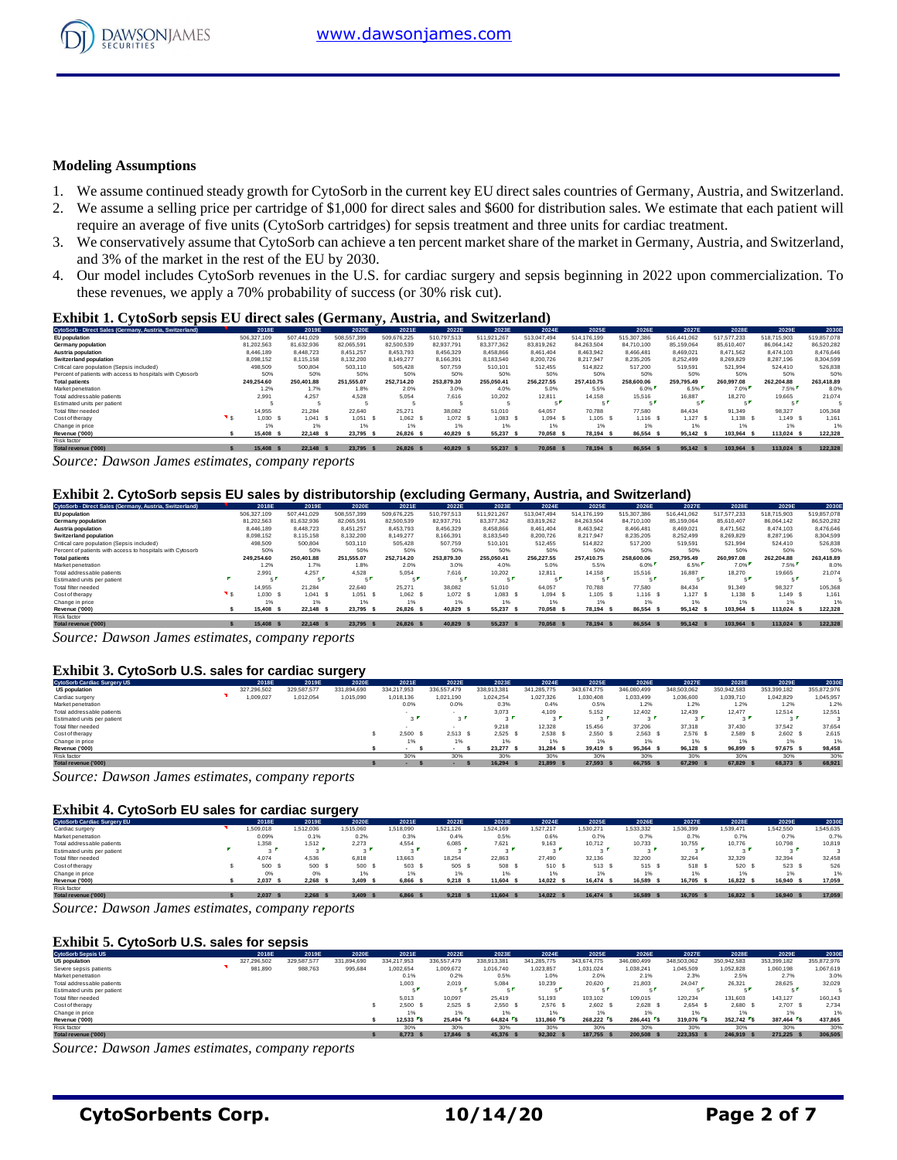

#### **Modeling Assumptions**

- 1. We assume continued steady growth for CytoSorb in the current key EU direct sales countries of Germany, Austria, and Switzerland.
- 2. We assume a selling price per cartridge of \$1,000 for direct sales and \$600 for distribution sales. We estimate that each patient will require an average of five units (CytoSorb cartridges) for sepsis treatment and three units for cardiac treatment.
- 3. We conservatively assume that CytoSorb can achieve a ten percent market share of the market in Germany, Austria, and Switzerland, and 3% of the market in the rest of the EU by 2030.
- 4. Our model includes CytoSorb revenues in the U.S. for cardiac surgery and sepsis beginning in 2022 upon commercialization. To these revenues, we apply a 70% probability of success (or 30% risk cut).

#### **Exhibit 1. CytoSorb sepsis EU direct sales (Germany, Austria, and Switzerland)**

| CytoSorb - Direct Sales (Germany, Austria, Switzerland)    | 2018E       | 2019E       | 2020E       | 2021E       | 2022E       | 2023E       | 2024E       | 2025E       | 2026E       | 2027E       | 2028E       | 2029E       | 2030E       |
|------------------------------------------------------------|-------------|-------------|-------------|-------------|-------------|-------------|-------------|-------------|-------------|-------------|-------------|-------------|-------------|
| <b>EU</b> population                                       | 506.327.109 | 507.441.029 | 508,557,399 | 509.676.225 | 510.797.513 | 511.921.267 | 513.047.494 | 514.176.199 | 515.307.386 | 516.441.062 | 517.577.233 | 518,715,903 | 519,857,078 |
| Germany population                                         | 81.202.563  | 81.632.936  | 82.065.591  | 82,500,539  | 82.937.791  | 83.377.362  | 83.819.262  | 84.263.504  | 84.710.100  | 85.159.064  | 85.610.407  | 86.064.142  | 86.520.282  |
| Austria population                                         | 8.446.189   | 8,448.723   | 8.451.257   | 8.453.793   | 8,456,329   | 8,458,866   | 8,461,404   | 8.463.942   | 8.466.481   | 8,469,021   | 8.471.562   | 8.474.103   | 8,476,646   |
| Switzerland population                                     | 8.098.152   | 8.115.158   | 8.132.200   | 8.149.277   | 8.166.391   | 8.183.540   | 8.200.726   | 8.217.947   | 8.235.205   | 8.252.499   | 8.269.829   | 8.287.196   | 8.304.599   |
| Critical care population (Sepsis included)                 | 498,509     | 500.804     | 503.110     | 505.428     | 507,759     | 510,101     | 512.455     | 514.822     | 517.200     | 519,591     | 521.994     | 524,410     | 526,838     |
| Percent of patients with access to hospitals with Cytosorb | 50%         | 50%         | 50%         | 50%         | 50%         | 50%         | 50%         | 50%         | 50%         | 50%         | 50%         | 50%         | 50%         |
| <b>Total patients</b>                                      | 249.254.60  | 250,401.88  | 251.555.07  | 252.714.20  | 253.879.30  | 255.050.41  | 256,227.55  | 257,410.75  | 258,600,06  | 259.795.49  | 260,997.08  | 262.204.88  | 263,418.89  |
| Market penetration                                         | 1.2%        | 1.7%        | 1.8%        | 2.0%        | 3.0%        | 4.0%        | 5.0%        | 5.5%        | 6.0%        | 6.5%        | 7.0%        | 7.5%        | 8.0%        |
| Total addressable patients                                 | 2.991       | 4.257       | 4.528       | 5.054       | 7.616       | 10.202      | 12.811      | 14.158      | 15,516      | 16.887      | 18.270      | 19.665      | 21.074      |
| Estimated units per patient                                |             |             |             |             |             |             |             |             |             | - 1         |             |             |             |
| Total filter needed                                        | 14.955      | 21.284      | 22.640      | 25.271      | 38,082      | 51,010      | 64.057      | 70.788      | 77,580      | 84.434      | 91.349      | 98.327      | 105,368     |
| Cost of therapy                                            | 1.030       | 1.041 S     | 1.051       | 1.062 S     | 1.072 S     | $1.083$ S   | 1.094 S     | 1.105 S     | $1.116$ S   | $1,127$ \$  | 1.138 S     | 1.149 S     | 1.161       |
| Change in price                                            | 1%          | 1%          | 1%          | 1%          | 1%          |             |             | 1%          | 1%          | 1%          | 1%          | 1%          | 1%          |
| Revenue ('000)                                             | 15,408      | 22.148 \$   | 23.795      | 26.826 S    | 40.829      | 55,237      | 70.058      | 78.194 S    | 86.554      | 95.142 \$   | 103.964 S   | 113.024 \$  | 122,328     |
| Risk factor                                                |             |             |             |             |             |             |             |             |             |             |             |             |             |
|                                                            |             |             |             |             |             |             |             |             |             |             |             |             |             |

7otalrevenue ('000) \$ 15,408 \$ 22,148 \$ 23,795 \$ 26,826 \$ 40,829 \$ 55,237 \$ 70,058 \$ 78,194 \$ 86,554 \$ 95,142 \$ 103,964 \$ 113,024 \$ 122,328

*Source: Dawson James estimates, company reports*

#### **Exhibit 2. CytoSorb sepsis EU sales by distributorship (excluding Germany, Austria, and Switzerland)**

| CytoSorb - Direct Sales (Germany, Austria, Switzerland)    | 2018E         | 2019E       | 2020E       | 2021E       | 2022E       | 2023E       | 2024E       | 2025E       | 2026E       | 2027E       | 2028E       | 2029E       | 2030E       |
|------------------------------------------------------------|---------------|-------------|-------------|-------------|-------------|-------------|-------------|-------------|-------------|-------------|-------------|-------------|-------------|
| EU population                                              | 506.327.109   | 507.441.029 | 508.557.399 | 509.676.225 | 510.797.513 | 511.921.267 | 513.047.494 | 514.176.199 | 515.307.386 | 516.441.062 | 517.577.233 | 518,715,903 | 519,857,078 |
| Germany population                                         | 81.202.563    | 81.632.936  | 82.065.591  | 82,500,539  | 82.937.791  | 83.377.362  | 83.819.262  | 84.263.504  | 84.710.100  | 85.159.064  | 85.610.407  | 86.064.142  | 86.520.282  |
| Austria population                                         | 8.446.189     | 8,448.723   | 8.451.257   | 8.453.793   | 8.456.329   | 8.458.866   | 8.461.404   | 8.463.942   | 8.466.481   | 8.469.021   | 8.471.562   | 8.474.103   | 8.476.646   |
| <b>Switzerland population</b>                              | 8,098,152     | 8,115,158   | 8,132,200   | 8,149,277   | 8,166,391   | 8,183,540   | 8,200,726   | 8.217.947   | 8,235,205   | 8,252,499   | 8,269,829   | 8,287,196   | 8,304,599   |
| Critical care population (Sepsis included)                 | 498,509       | 500.804     | 503.110     | 505.428     | 507.759     | 510.101     | 512.455     | 514.822     | 517.200     | 519.591     | 521.994     | 524,410     | 526.838     |
| Percent of patients with access to hospitals with Cytosorb | 50%           | 50%         | 50%         | 50%         | 50%         | 50%         | 50%         | 50%         | 50%         | 50%         | 50%         | 50%         | 50%         |
| <b>Total patients</b>                                      | 249.254.60    | 250.401.88  | 251.555.07  | 252.714.20  | 253.879.30  | 255.050.41  | 256.227.55  | 257,410.75  | 258,600,06  | 259.795.49  | 260.997.08  | 262.204.88  | 263,418.89  |
| Market penetration                                         | 1.2%          | 1.7%        | 1.8%        | 2.0%        | 3.0%        | 4.0%        | 5.0%        | 5.5%        | 6.0%        | 6.5%        | 7.0%        | 7.5%        | 8.0%        |
| Total addressable patients                                 | 2.991         | 4.257       | 4.528       | 5.054       | 7.616       | 10.202      | 12.811      | 14.158      | 15.516      | 16.887      | 18.270      | 19.665      | 21.074      |
| Estimated units per patient                                |               |             |             |             | e l         |             |             |             |             | - 1         |             |             |             |
| Total filter needed                                        | 14.955        | 21.284      | 22.640      | 25.271      | 38.082      | 51.010      | 64.057      | 70.788      | 77,580      | 84.434      | 91.349      | 98.327      | 105,368     |
| Cost of therapy                                            | 0.030         | 1.041 S     | 1.051       | 1.062 S     | $1,072$ \$  | 1.083S      | $1.094$ S   | 1.105 S     | $1.116$ S   | $1,127$ \$  | 1.138 S     | 1.149 S     | 1.161       |
| Change in price                                            | 1%            | 1%          | 1%          |             | 1%          | 1%          |             | 1%          | 1%          | 1%          | 1%          |             | 1%          |
| Revenue ('000)                                             | 15,408        | 22.148 \$   | 23.795      | 26.826 S    | 40.829      | 55.237 \$   | 70.058 \$   | 78.194 S    | 86.554 \$   | 95.142 \$   | 103.964 S   | 113,024 \$  | 122,328     |
| Risk factor                                                |               |             |             |             |             |             |             |             |             |             |             |             |             |
| Total revenue ('000)                                       | 15,408<br>- 5 | 22.148 \$   | 23,795      | 26.826 S    | 40.829      | 55.237 \$   | 70.058 \$   | 78.194 S    | 86.554 \$   | 95.142 \$   | 103.964 S   | 113.024 \$  | 122.328     |

*Source: Dawson James estimates, company reports*

#### **Exhibit 3. CytoSorb U.S. sales for cardiac surgery**

| Exhibit 3. CytoSorb U.S. sales for cardiac surgery |  |             |             |             |                       |             |               |             |                       |             |             |             |             |             |
|----------------------------------------------------|--|-------------|-------------|-------------|-----------------------|-------------|---------------|-------------|-----------------------|-------------|-------------|-------------|-------------|-------------|
| <b>CytoSorb Cardiac Surgery US</b>                 |  | 2018E       | 2019E       | 2020E       | 2021E                 | 2022E       | 2023E         | 2024E       | 2025E                 | 2026E       | 2027E       | 2028E       | 2029E       | 2030E       |
| <b>US population</b>                               |  | 327.296.502 | 329,587,577 | 331.894.690 | 334.217.953           | 336.557.479 | 338.913.381   | 341.285.775 | 343.674.775           | 346,080,499 | 348.503.062 | 350.942.583 | 353,399,182 | 355,872,976 |
| Cardiac surgery                                    |  | 009,027     | 1,012,054   | 1,015,090   | 1.018.136             | 1.021.190   | 1.024.254     | 1,027,326   | 1,030,408             | 1.033.499   | 1,036,600   | 1,039,710   | 1.042.829   | 1.045.957   |
| Market penetration                                 |  |             |             |             | 0.0%                  | 0.0%        | 0.3%          | 0.4%        | 0.5%                  | 1.2%        | 1.2%        | 1.2%        | 1.2%        | 1.2%        |
| Total addressable patients                         |  |             |             |             |                       |             | 3,073         | 4.109       | 5.152                 | 12,402      | 12.439      | 12.477      | 12.514      | 12.551      |
| Estimated units per patient                        |  |             |             |             | $\sim$ $\blacksquare$ | $3^{\circ}$ | $\sim$ $\sim$ | $\sim$      | $\sim$ $\blacksquare$ | $\sim$ 1    | $\sim$      | $\sim$      | $\sim$      |             |
| Total filter needed                                |  |             |             |             |                       |             | 9,218         | 12,328      | 15,456                | 37,206      | 37,318      | 37,430      | 37.542      | 37.654      |
| Cost of therapy                                    |  |             |             |             | 2.500 S               | 2.513       | 2.525         | 2.538 S     | 2.550 S               | 2.563S      | 2.576S      | 2.589 S     | 2.602 S     | 2.615       |
| Change in price                                    |  |             |             |             | 1%                    | 1%          | 1%            |             | 1%                    | 1%          | 1%          | 1%          | 1%          | 1%          |
| Revenue ('000)                                     |  |             |             |             |                       |             | 23.277 \$     | 31.284 S    | 39.419 S              | 95.364 \$   | 96.128 \$   | 96.899 \$   | 97.675 \$   | 98,458      |
| Risk factor                                        |  |             |             |             | 30%                   | 30%         | 30%           | 30%         | 30%                   | 30%         | 30%         | 30%         | 30%         | 30%         |
| Total revenue ('000)                               |  |             |             |             |                       |             | 16.294 \$     | 21.899 \$   | 27,593 \$             | 66,755      | 67.290 \$   | 67.829 S    | 68,373 \$   | 68,921      |

*Source: Dawson James estimates, company reports*

#### **Exhibit 4. CytoSorb EU sales for cardiac surgery**

| <b>Exhibit 4. CytoSorb EU sales for cardiac surgery</b> |  |          |            |              |           |           |           |           |          |           |           |           |                |           |
|---------------------------------------------------------|--|----------|------------|--------------|-----------|-----------|-----------|-----------|----------|-----------|-----------|-----------|----------------|-----------|
| <b>CytoSorb Cardiac Surgery EU</b>                      |  | 2018E    | 2019E      | 2020E        | 2021E     | 2022E     | 2023E     | 2024E     | 2025E    | 2026E     | 2027E     | 2028E     | 2029E          | 2030E     |
| Cardiac surgery                                         |  | .509.018 | 1,512,036  | 1,515,060    | 1.518.090 | 1.521.126 | 1.524.169 | 1.527.217 | .530.271 | 1,533,332 | 1,536,399 | 1,539,471 | 1.542.550      | 1.545.635 |
| Market penetration                                      |  | 0.09%    | 0.1%       | 0.2%         | 0.3%      | 0.4%      | 0.5%      | 0.6%      | 0.7%     | 0.7%      | 0.7%      | 0.7%      | 0.7%           | 0.7%      |
| Total addressable patients                              |  | 1.358    | 1.512      | 2.273        | 4.554     | 6.085     | 7.621     | 9.163     | 10.712   | 10.733    | 10.755    | 10.776    | 10.798         | 10,819    |
| Estimated units per patient                             |  | . .      |            |              |           | $\sim$    |           | $\sim$    |          |           | $\sim$    |           | $\sim$         |           |
| Total filter needed                                     |  | 4.074    | 4.536      | 6.818        | 13,663    | 18.254    | 22.863    | 27,490    | 32.136   | 32.200    | 32.264    | 32.329    | 32.394         | 32.458    |
| Cost of therapy                                         |  | 500 S    | 500 \$     | 500 S        | 503       | 505 \$    | 508       | 510 S     | 513 S    | 515 S     | 518 S     | 520       | 523 \$         | 526       |
| Change in price                                         |  | 0%       | 0%         | 1%           | 1%        | 1%        | 1%        |           | 1%       | 1%        | 1%        | 1%        | 1%             | 1%        |
| Revenue ('000)                                          |  | 2.037    | 2.268      | 3.409<br>- 5 | 6,866     | 9.218     | 11.604    | 14.022 \$ | 16.474 S | 16,589    | 16.705 \$ | 16.822 S  | 16,940<br>- \$ | 17,059    |
| Risk factor                                             |  |          |            |              |           |           |           |           |          |           |           |           |                |           |
| Total revenue ('000)                                    |  | 2.037    | $2.268$ \$ | 3.409        | 6.866 S   | 9.218     | 11,604 \$ | 14.022 \$ | 16.474 S | 16,589 \$ | 16,705 \$ | 16.822 S  | 16,940 \$      | 17,059    |

*Source: Dawson James estimates, company reports*

#### **Exhibit 5. CytoSorb U.S. sales for sepsis**

| <b>Exhibit 5. CytoSorb U.S. sales for sepsis</b> |  |             |             |             |             |             |             |             |             |             |             |             |             |             |
|--------------------------------------------------|--|-------------|-------------|-------------|-------------|-------------|-------------|-------------|-------------|-------------|-------------|-------------|-------------|-------------|
| <b>CytoSorb Sepsis US</b>                        |  | 2018E       | 2019E       | 2020E       | 2021E       | 2022E       | 2023E       | 2024E       | 2025E       | 2026E       | 2027E       | 2028E       | 2029E       | 2030E       |
| <b>US population</b>                             |  | 327.296.502 | 329,587,577 | 331.894.690 | 334.217.953 | 336,557,479 | 338.913.381 | 341.285.775 | 343.674.775 | 346,080,499 | 348.503.062 | 350.942.583 | 353.399.182 | 355,872,976 |
| Severe sepsis patients                           |  | 981,890     | 988,763     | 995,684     | 1,002,654   | 1.009.672   | 1,016,740   | 1,023,857   | 1.031.024   | 1,038,241   | 1,045,509   | 1,052,828   | 1,060,198   | 1.067.619   |
| Market penetration                               |  |             |             |             | 0.1%        | 0.2%        | 0.5%        | 1.0%        | 2.0%        | 2.1%        | 2.3%        | 2.5%        | 2.7%        | 3.0%        |
| Total addressable patients                       |  |             |             |             | 1.003       | 2.019       | 5,084       | 10,239      | 20,620      | 21,803      | 24,047      | 26,321      | 28,625      | 32,029      |
| Estimated units per patient                      |  |             |             |             |             |             |             |             |             |             |             |             |             |             |
| Total filter needed                              |  |             |             |             | 5.013       | 10.097      | 25.419      | 51.193      | 103.102     | 109,015     | 120.234     | 131.603     | 143.127     | 160.143     |
| Cost of therapy                                  |  |             |             |             | 2.500 S     | 2.525       | 2.550 S     | 2.576 S     | 2.602 S     | 2.628 S     | 2.654 S     | 2.680 S     | 2.707 \$    | 2.734       |
| Change in price                                  |  |             |             |             |             | 1%          | 1%          |             | 1%          | 1%          | 1%          | 1%          |             | 1%          |
| Revenue ('000)                                   |  |             |             |             | 12.533 S    | $25.494$ S  | 64.824 \$   | 131,860 S   | 268.222 S   | 286.441 S   | 319.076 S   | 352.742 S   | 387.464 S   | 437.865     |
| Risk factor                                      |  |             |             |             | 30%         | 30%         | 30%         | 30%         | 30%         | 30%         | 30%         | 30%         | 30%         | 30%         |
| Total revenue ('000)                             |  |             |             |             | 8.773 S     | 17,846      | 45.376 \$   | 92.302      | 187,755 \$  | 200.508 \$  | 223.353     | 246.919 S   | 271.225 \$  | 306.505     |

*Source: Dawson James estimates, company reports*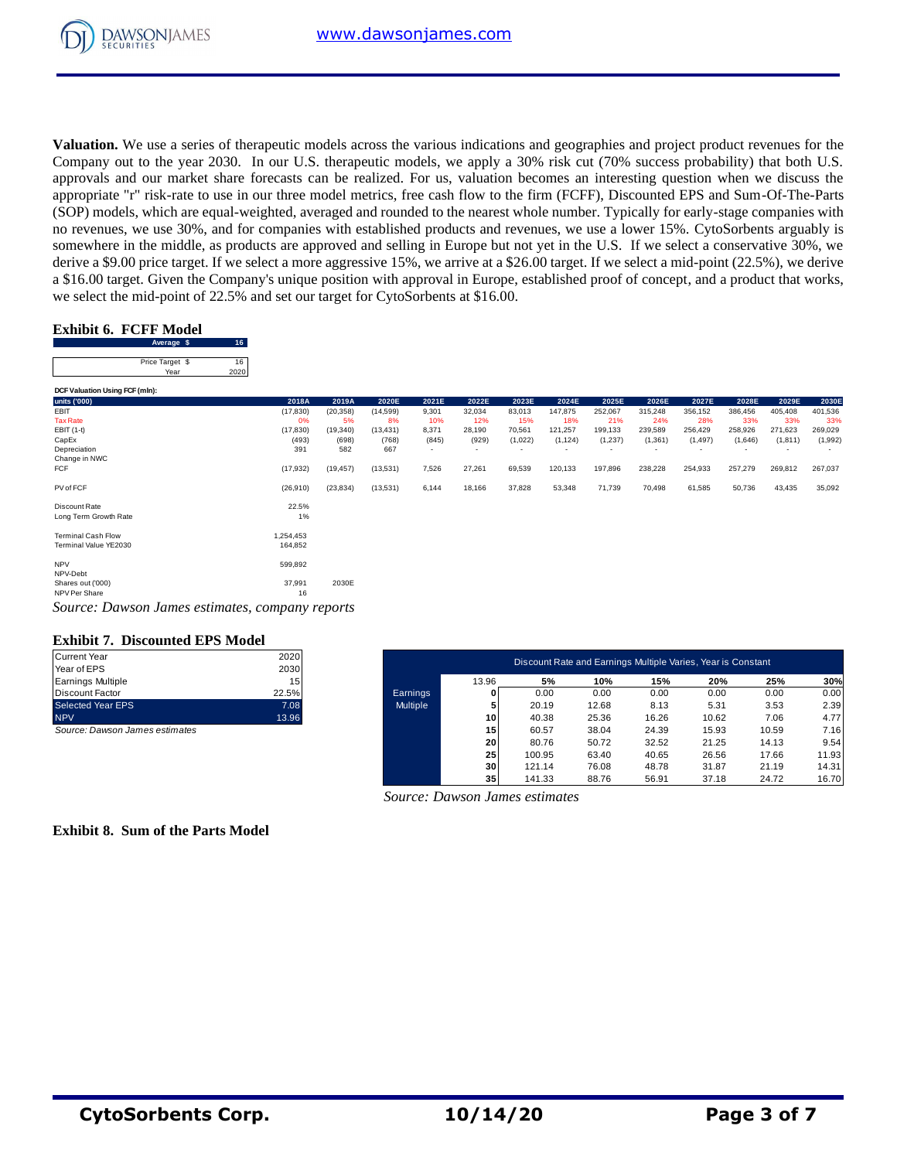

**Valuation.** We use a series of therapeutic models across the various indications and geographies and project product revenues for the Company out to the year 2030. In our U.S. therapeutic models, we apply a 30% risk cut (70% success probability) that both U.S. approvals and our market share forecasts can be realized. For us, valuation becomes an interesting question when we discuss the appropriate "r" risk-rate to use in our three model metrics, free cash flow to the firm (FCFF), Discounted EPS and Sum-Of-The-Parts (SOP) models, which are equal-weighted, averaged and rounded to the nearest whole number. Typically for early-stage companies with no revenues, we use 30%, and for companies with established products and revenues, we use a lower 15%. CytoSorbents arguably is somewhere in the middle, as products are approved and selling in Europe but not yet in the U.S. If we select a conservative 30%, we derive a \$9.00 price target. If we select a more aggressive 15%, we arrive at a \$26.00 target. If we select a mid-point (22.5%), we derive a \$16.00 target. Given the Company's unique position with approval in Europe, established proof of concept, and a product that works, we select the mid-point of 22.5% and set our target for CytoSorbents at \$16.00. France Company<br> **August 1 Average \$** 16<br> **Average \$** 16<br> **Average \$** 16

## **Exhibit 6. FCFF Model**

| we select the mid-point of 22.5% and set our target for CytoSorbents at \$16.00. |           |           |           |                          |        |                          |                          |                          |          | $\mathbf{r}$ | $\mathbf{r}$ |         |         |
|----------------------------------------------------------------------------------|-----------|-----------|-----------|--------------------------|--------|--------------------------|--------------------------|--------------------------|----------|--------------|--------------|---------|---------|
|                                                                                  |           |           |           |                          |        |                          |                          |                          |          |              |              |         |         |
| <b>Exhibit 6. FCFF Model</b><br>16 <sup>°</sup><br>Average \$                    |           |           |           |                          |        |                          |                          |                          |          |              |              |         |         |
| Price Target \$<br>16                                                            |           |           |           |                          |        |                          |                          |                          |          |              |              |         |         |
| Year<br>2020                                                                     |           |           |           |                          |        |                          |                          |                          |          |              |              |         |         |
| DCF Valuation Using FCF (mln):                                                   |           |           |           |                          |        |                          |                          |                          |          |              |              |         |         |
| units ('000)                                                                     | 2018A     | 2019A     | 2020E     | 2021E                    | 2022E  | 2023E                    | 2024E                    | 2025E                    | 2026E    | 2027E        | 2028E        | 2029E   | 2030E   |
| EBIT                                                                             | (17, 830) | (20, 358) | (14, 599) | 9,301                    | 32,034 | 83,013                   | 147,875                  | 252,067                  | 315,248  | 356,152      | 386,456      | 405,408 | 401,536 |
| <b>Tax Rate</b>                                                                  | 0%        | 5%        | 8%        | 10%                      | 12%    | 15%                      | 18%                      | 21%                      | 24%      | 28%          | 33%          | 33%     | 33%     |
| EBIT (1-t)                                                                       | (17, 830) | (19, 340) | (13, 431) | 8,371                    | 28,190 | 70,561                   | 121,257                  | 199,133                  | 239,589  | 256,429      | 258,926      | 271,623 | 269,029 |
| CapEx                                                                            | (493)     | (698)     | (768)     | (845)                    | (929)  | (1,022)                  | (1, 124)                 | (1,237)                  | (1, 361) | (1, 497)     | (1,646)      | (1,811) | (1,992) |
| Depreciation                                                                     | 391       | 582       | 667       | $\overline{\phantom{a}}$ | $\sim$ | $\overline{\phantom{a}}$ | $\overline{\phantom{a}}$ | $\overline{\phantom{a}}$ |          |              |              |         |         |
| Change in NWC                                                                    |           |           |           |                          |        |                          |                          |                          |          |              |              |         |         |
| FCF                                                                              | (17, 932) | (19, 457) | (13,531)  | 7,526                    | 27,261 | 69,539                   | 120,133                  | 197,896                  | 238,228  | 254,933      | 257,279      | 269,812 | 267,037 |
| PV of FCF                                                                        | (26, 910) | (23, 834) | (13,531)  | 6,144                    | 18,166 | 37,828                   | 53,348                   | 71,739                   | 70,498   | 61,585       | 50,736       | 43,435  | 35,092  |
| Discount Rate                                                                    | 22.5%     |           |           |                          |        |                          |                          |                          |          |              |              |         |         |
| Long Term Growth Rate                                                            | $1\%$     |           |           |                          |        |                          |                          |                          |          |              |              |         |         |
| <b>Terminal Cash Flow</b>                                                        | 1,254,453 |           |           |                          |        |                          |                          |                          |          |              |              |         |         |
| Terminal Value YE2030                                                            | 164,852   |           |           |                          |        |                          |                          |                          |          |              |              |         |         |
| <b>NPV</b>                                                                       | 599,892   |           |           |                          |        |                          |                          |                          |          |              |              |         |         |
| NPV-Debt                                                                         |           |           |           |                          |        |                          |                          |                          |          |              |              |         |         |
| Shares out ('000)                                                                | 37,991    | 2030E     |           |                          |        |                          |                          |                          |          |              |              |         |         |
| NPV Per Share                                                                    | 16        |           |           |                          |        |                          |                          |                          |          |              |              |         |         |
| Source: Dawson James estimates, company reports                                  |           |           |           |                          |        |                          |                          |                          |          |              |              |         |         |

#### **Exhibit 7. Discounted EPS Model**

| <b>Current Year</b>      | 2020  |
|--------------------------|-------|
| Year of EPS              | 2030  |
| <b>Earnings Multiple</b> | 15    |
| <b>Discount Factor</b>   | 22.5% |
| <b>Selected Year EPS</b> | 7.08  |
| <b>NPV</b>               | 13.96 |
|                          |       |

| Current Year                   | 2020  |                 |                 | Discount Rate and Earnings Multiple Varies, Year is Constant |       |       |       |       |       |
|--------------------------------|-------|-----------------|-----------------|--------------------------------------------------------------|-------|-------|-------|-------|-------|
| Year of EPS                    | 2030  |                 |                 |                                                              |       |       |       |       |       |
| Earnings Multiple              | 15    |                 | 13.96           | 5%                                                           | 10%   | 15%   | 20%   | 25%   | 30%   |
| Discount Factor                | 22.5% | Earnings        |                 | 0.00                                                         | 0.00  | 0.00  | 0.00  | 0.00  | 0.00  |
| Selected Year EPS              | 7.08  | <b>Multiple</b> |                 | 20.19                                                        | 12.68 | 8.13  | 5.31  | 3.53  | 2.39  |
| <b>NPV</b>                     | 13.96 |                 | 10 <sup>1</sup> | 40.38                                                        | 25.36 | 16.26 | 10.62 | 7.06  | 4.77  |
| Source: Dawson James estimates |       |                 | 15              | 60.57                                                        | 38.04 | 24.39 | 15.93 | 10.59 | 7.16  |
|                                |       |                 | 20              | 80.76                                                        | 50.72 | 32.52 | 21.25 | 14.13 | 9.54  |
|                                |       |                 | 25              | 100.95                                                       | 63.40 | 40.65 | 26.56 | 17.66 | 11.93 |
|                                |       |                 | 30 <sup>1</sup> | 121.14                                                       | 76.08 | 48.78 | 31.87 | 21.19 | 14.31 |
|                                |       |                 | 35 <sub>1</sub> | 141.33                                                       | 88.76 | 56.91 | 37.18 | 24.72 | 16.70 |

 *Source: Dawson James estimates*

#### **Exhibit 8. Sum of the Parts Model**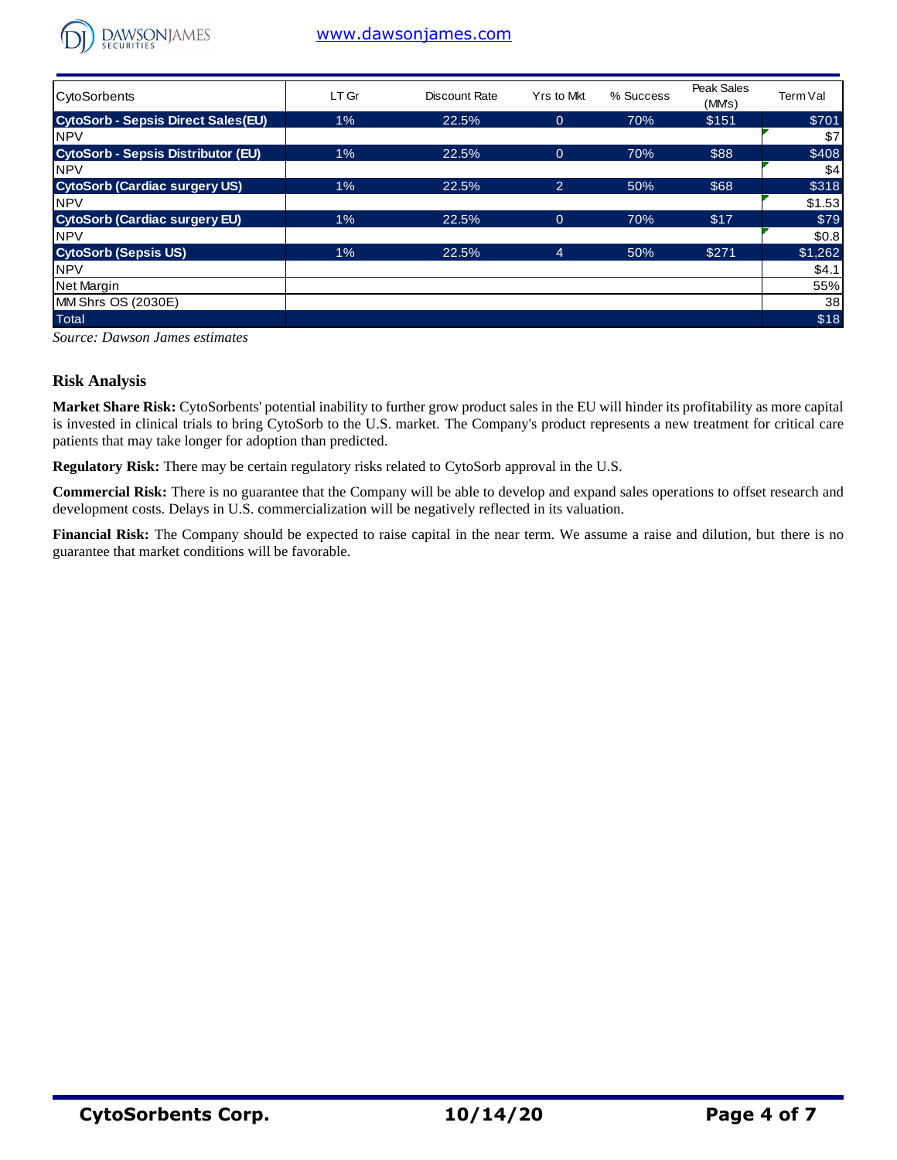

## [www.dawsonjames.com](http://www.dawsonjames.com/)

| $\sum$ SECURILIES                         |       |               |                |           |                     |          |
|-------------------------------------------|-------|---------------|----------------|-----------|---------------------|----------|
| <b>CytoSorbents</b>                       | LT Gr | Discount Rate | Yrs to Mkt     | % Success | Peak Sales<br>(MMs) | Term Val |
| <b>CytoSorb - Sepsis Direct Sales(EU)</b> | 1%    | 22.5%         | $\overline{0}$ | 70%       | \$151               | \$701    |
| <b>NPV</b>                                |       |               |                |           |                     | \$7      |
| <b>CytoSorb - Sepsis Distributor (EU)</b> | 1%    | 22.5%         | $\overline{0}$ | 70%       | \$88                | \$408    |
| <b>NPV</b>                                |       |               |                |           |                     | \$4      |
| <b>CytoSorb (Cardiac surgery US)</b>      | 1%    | 22.5%         | $\overline{2}$ | 50%       | \$68                | \$318    |
| <b>NPV</b>                                |       |               |                |           |                     | \$1.53   |
| <b>CytoSorb (Cardiac surgery EU)</b>      | 1%    | 22.5%         | $\overline{0}$ | 70%       | \$17                | \$79     |
| <b>NPV</b>                                |       |               |                |           |                     | \$0.8    |
| <b>CytoSorb (Sepsis US)</b>               | 1%    | 22.5%         | $\overline{4}$ | 50%       | \$271               | \$1,262  |
| <b>NPV</b>                                |       |               |                |           |                     | \$4.1    |
| Net Margin                                |       |               |                |           |                     | 55%      |
| MM Shrs OS (2030E)                        |       |               |                |           |                     | 38       |
| <b>Total</b>                              |       |               |                |           |                     | \$18     |

*Source: Dawson James estimates*

### **Risk Analysis**

**Market Share Risk:** CytoSorbents' potential inability to further grow product sales in the EU will hinder its profitability as more capital is invested in clinical trials to bring CytoSorb to the U.S. market. The Company's product represents a new treatment for critical care patients that may take longer for adoption than predicted.

**Regulatory Risk:** There may be certain regulatory risks related to CytoSorb approval in the U.S.

**Commercial Risk:** There is no guarantee that the Company will be able to develop and expand sales operations to offset research and development costs. Delays in U.S. commercialization will be negatively reflected in its valuation.

**Financial Risk:** The Company should be expected to raise capital in the near term. We assume a raise and dilution, but there is no guarantee that market conditions will be favorable.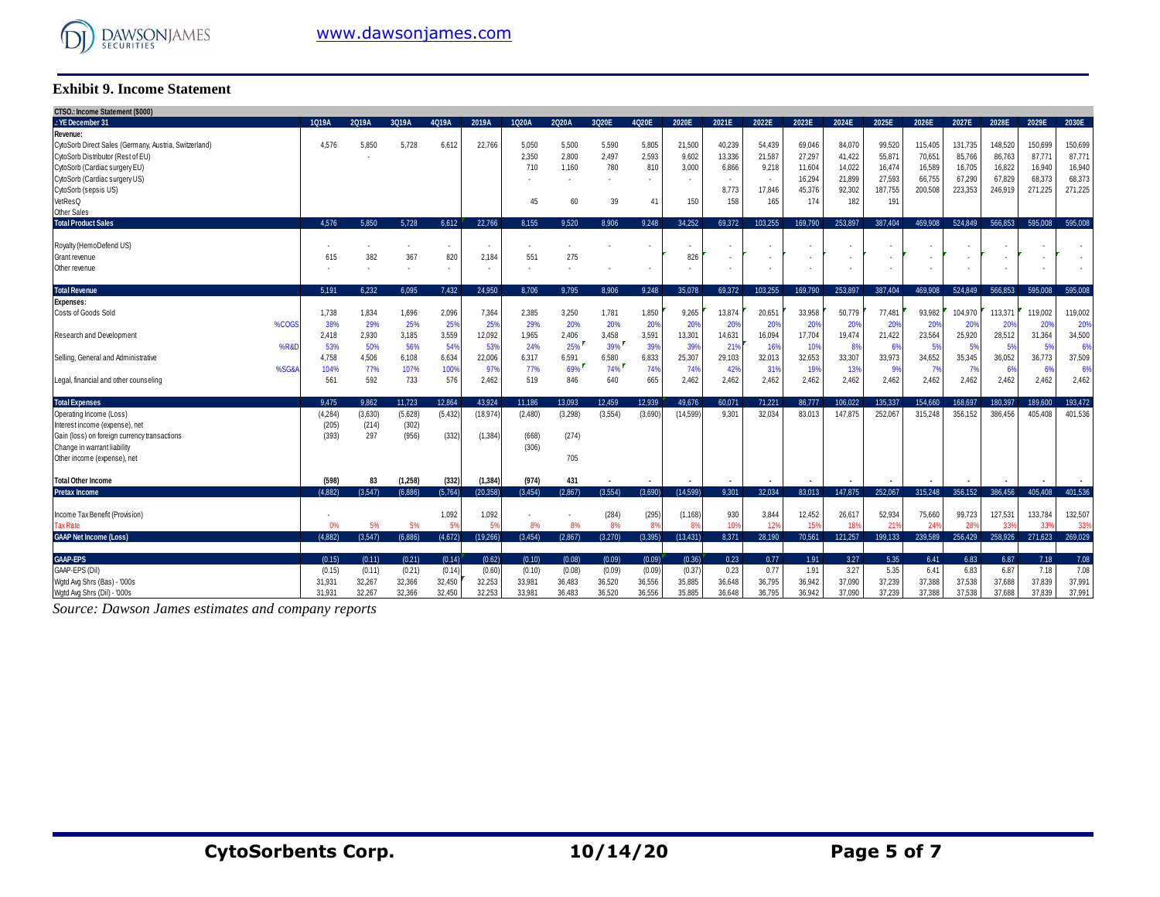

#### **Exhibit 9. Income Statement**

| CTSO.: Income Statement (\$000)<br>.: YE December 31  | 1Q19A         | 2Q19A        | 3Q19A                    | 4Q19A    | 2019A                    | 1Q20A        | 2Q20A   | 3Q20E   | 4Q20E                    | 2020E                 | 2021E                    | 2022E           | 2023E   | 2024E   | 2025E                    | 2026E           | 2027E   | 2028E           | 2029E       | 2030E                    |
|-------------------------------------------------------|---------------|--------------|--------------------------|----------|--------------------------|--------------|---------|---------|--------------------------|-----------------------|--------------------------|-----------------|---------|---------|--------------------------|-----------------|---------|-----------------|-------------|--------------------------|
|                                                       |               |              |                          |          |                          |              |         |         |                          |                       |                          |                 |         |         |                          |                 |         |                 |             |                          |
| Revenue:                                              |               |              |                          |          | 22.766                   |              |         |         |                          |                       |                          |                 |         | 84.070  |                          |                 |         |                 | 150.699     |                          |
| CytoSorb Direct Sales (Germany, Austria, Switzerland) | 4,576         | 5,850        | 5,728                    | 6,612    |                          | 5,050        | 5.500   | 5,590   | 5,805                    | 21,500                | 40,239                   | 54,439          | 69,046  |         | 99,520                   | 115,405         | 131,735 | 148,520         |             | 150,699                  |
| CytoSorb Distributor (Rest of EU)                     |               |              |                          |          |                          | 2,350        | 2,800   | 2,497   | 2,593                    | 9,602                 | 13,336                   | 21,587          | 27,297  | 41,422  | 55,87                    | 70,651          | 85,766  | 86,763          | 87,771      | 87,771                   |
| CytoSorb (Cardiac surgery EU)                         |               |              |                          |          |                          | 710          | 1.160   | 780     | 810                      | 3,000                 | 6,866                    | 9,218           | 11,604  | 14.022  | 16,474                   | 16,589          | 16.705  | 16,822          | 16,940      | 16,940                   |
| CytoSorb (Cardiac surgery US)                         |               |              |                          |          |                          |              |         |         |                          |                       | $\overline{\phantom{a}}$ | $\sim$          | 16,294  | 21.899  | 27,593                   | 66,755          | 67,290  | 67,829          | 68,373      | 68,373                   |
| CytoSorb (sepsis US)                                  |               |              |                          |          |                          |              |         |         |                          |                       | 8,773                    | 17,846          | 45,376  | 92,302  | 187,755                  | 200,508         | 223,353 | 246,919         | 271,225     | 271,225                  |
| VetResQ                                               |               |              |                          |          |                          | 45           | 60      | 39      | 41                       | 150                   | 158                      | 165             | 174     | 182     | 191                      |                 |         |                 |             |                          |
| <b>Other Sales</b>                                    |               |              |                          |          |                          |              |         |         |                          |                       |                          |                 |         |         |                          |                 |         |                 |             |                          |
| <b>Total Product Sales</b>                            | 4.576         | 5.850        | 5.728                    | 6.612    | 22.766                   | 8.155        | 9.520   | 8.906   | 9.248                    | 34.252                | 69.372                   | 103.255         | 169.790 | 253,897 | 387.404                  | 469.908         | 524.849 | 566.853         | 595,008     | 595.008                  |
|                                                       |               |              |                          |          |                          |              |         |         |                          |                       |                          |                 |         |         |                          |                 |         |                 |             |                          |
| Royalty (HemoDefend US)                               |               |              |                          | ٠        |                          |              |         |         |                          |                       | . .                      |                 |         |         |                          |                 |         |                 |             |                          |
| Grant revenue                                         | 615           | 382          | 367                      | 820      | 2,184                    | 551          | 275     |         |                          | 826                   | $\overline{\phantom{a}}$ | ٠               |         |         |                          | ٠               |         |                 |             |                          |
| Other revenue                                         |               |              | $\overline{\phantom{a}}$ | ٠        | $\overline{\phantom{a}}$ | ٠            |         |         | $\overline{\phantom{a}}$ | ٠                     | $\overline{\phantom{a}}$ | $\sim$          |         |         | $\overline{\phantom{a}}$ | ٠               |         | $\sim$          |             | $\overline{\phantom{a}}$ |
| <b>Total Revenue</b>                                  | 5.191         | 6.232        | 6.095                    | 7.432    | 24.950                   | 8.706        | 9.795   | 8.906   | 9.248                    | 35.078                | 69.372                   | 103.255         | 169.790 | 253.897 | 387.404                  | 469,908         | 524.849 | 566.853         | 595.008     | 595.008                  |
| <b>Expenses:</b>                                      |               |              |                          |          |                          |              |         |         |                          |                       |                          |                 |         |         |                          |                 |         |                 |             |                          |
| Costs of Goods Sold                                   | 1,738         | 1,834        | 1,696                    | 2,096    | 7,364                    | 2,385        | 3,250   | 1,781   | 1,850                    | 9,265                 | 13,874                   | 20,651          | 33,958  | 50.779  | 77,481                   | 93,982          | 104,970 | 113,371         | 119.002     | 119,002                  |
| %COGS                                                 | 38%           | 29%          | 25%                      | 25%      | 25%                      | 29%          | 20%     | 20%     | 20%                      | 20%                   | 20%                      | 20%             | 20%     | 20%     | 20%                      | 20%             | 20%     | 20%             | 20%         | 20%                      |
| Research and Development                              | 2,418         | 2,930        | 3,185                    | 3,559    | 12,092                   | 1,965        | 2,406   | 3,458   | 3,591                    | 13,301                | 14,631                   | 16,094          | 17,704  | 19,474  | 21,422                   | 23,564          | 25,920  | 28,512          | 31,364      | 34,500                   |
| %R&I                                                  |               |              | 56%                      | 54%      | 53%                      | 24%          | 25%     | 39%     | 39%                      | 39%                   |                          | 16%             | 10%     | 8%      |                          | 5%              | 5%      |                 | 5%          | 6%                       |
|                                                       | 53%           | 50%          |                          | 6,634    | 22,006                   |              | 6,591   | 6,580   | 6,833                    | 25,307                | 21%<br>29,103            | 32,013          | 32,653  | 33,307  | 6%<br>33,973             | 34,652          | 35,345  | 5%<br>36,052    |             | 37,509                   |
| Selling, General and Administrative<br>%SG&           | 4,758<br>104% | 4,506<br>77% | 6,108<br>107%            | 100%     | 97%                      | 6,317<br>77% | 69%     | 74%     | 74%                      | 74%                   | 42%                      | 31%             | 19%     | 13%     | 9%                       | 7%              |         |                 | 36,773<br>6 | 6%                       |
|                                                       |               |              |                          |          |                          |              |         |         |                          |                       |                          |                 |         |         |                          |                 | - 7%    | 6%              |             |                          |
| Legal, financial and other counseling                 | 561           | 592          | 733                      | 576      | 2,462                    | 519          | 846     | 640     | 665                      | 2,462                 | 2,462                    | 2,462           | 2,462   | 2,462   | 2,462                    | 2,462           | 2,462   | 2,462           | 2,462       | 2,462                    |
| <b>Total Expenses</b>                                 | 9.475         | 9.862        | 11.723                   | 12.864   | 43.924                   | 11.186       | 13.093  | 12.459  | 12.939                   | 49.676                | 60.071                   | 71.221          | 86.777  | 106.022 | 135.337                  | 154,660         | 168.697 | 180.397         | 189.600     | 193.472                  |
| Operating Income (Loss)                               | (4, 284)      | (3,630)      | (5,628)                  | (5, 432) | 18,974                   | (2,480)      | (3,298) | (3,554) | (3,690)                  | (14, 599)             | 9.301                    | 32,034          | 83.013  | 147.875 | 252.067                  | 315,248         | 356,152 | 386.456         | 405.408     | 401,536                  |
| Interest income (expense), net                        | (205)         | (214)        | (302)                    |          |                          |              |         |         |                          |                       |                          |                 |         |         |                          |                 |         |                 |             |                          |
| Gain (loss) on foreign currency transactions          | (393)         | 297          | (956)                    | (332)    | (1, 384)                 | (668)        | (274)   |         |                          |                       |                          |                 |         |         |                          |                 |         |                 |             |                          |
| Change in warrant liability                           |               |              |                          |          |                          | (306)        |         |         |                          |                       |                          |                 |         |         |                          |                 |         |                 |             |                          |
| Other income (expense), net                           |               |              |                          |          |                          |              | 705     |         |                          |                       |                          |                 |         |         |                          |                 |         |                 |             |                          |
|                                                       |               |              |                          |          |                          |              |         |         |                          |                       |                          |                 |         |         |                          |                 |         |                 |             |                          |
| <b>Total Other Income</b>                             | (598)         | 83           | (1,258)                  | (332)    | (1, 384)                 | (974)        | 431     |         |                          |                       |                          |                 |         |         |                          |                 |         |                 |             |                          |
| <b>Pretax Income</b>                                  | (4.882)       | (3.547)      | (6.886)                  | (5,764)  | (20.358)                 | (3.454)      | (2.867) | (3.554) | (3.690)                  | (14.599)              | 9.301                    | 32.034          | 83.013  | 147.875 | 252.067                  | 315.248         | 356.152 | 386,456         | 405.408     | 401.536                  |
|                                                       |               |              |                          |          |                          |              |         |         |                          |                       |                          |                 |         |         |                          |                 |         |                 |             |                          |
| Income Tax Benefit (Provision)                        |               |              |                          | 1,092    | 1,092                    |              |         | (284)   | (295)                    | (1, 168)              | 930                      | 3,844           | 12,452  | 26.617  | 52,934                   | 75,660          | 99,723  | 127,531         | 133.784     | 132,507                  |
| <b>Tax Rate</b>                                       |               | 5%           | 5%                       |          | 59                       | 8%           | 8%      | 8%      | $R^{\prime}$             | <b>R</b> <sup>Q</sup> | 10 <sup>1</sup>          | 12 <sup>9</sup> | 159     | 189     | 21                       | 24 <sup>°</sup> | 28'     | 33 <sup>0</sup> | 33'         | 339                      |
| <b>GAAP Net Income (Loss)</b>                         | (4.882)       | (3.547)      | (6.886)                  | (4,672)  | (19, 266)                | (3.454)      | (2.867) | (3.270) | (3.395)                  | (13, 431)             | 8.371                    | 28,190          | 70,561  | 121.257 | 199.133                  | 239.589         | 256,429 | 258,926         | 271.623     | 269,029                  |
| <b>GAAP-EPS</b>                                       | (0.15)        | (0.11)       | (0.21)                   | (0.14)   | (0.62)                   | (0.10)       | (0.08)  | (0.09)  | (0.09)                   | (0.36)                | 0.23                     | 0.77            | 1.91    | 3.27    | 5.35                     | 6.41            | 6.83    | 6.87            | 7.18        | 7.08                     |
| GAAP-EPS (Dil)                                        |               | (0.11)       | (0.21)                   | (0.14)   | (0.60)                   |              | (0.08)  | (0.09)  | (0.09)                   | (0.37)                | 0.23                     | 0.77            | 1.91    | 3.27    | 5.35                     | 6.41            | 6.83    | 6.87            | 7.18        | 7.08                     |
|                                                       | (0.15)        |              |                          |          |                          | (0.10)       |         |         |                          |                       |                          |                 |         |         |                          |                 |         |                 |             |                          |
| Wgtd Avg Shrs (Bas) - '000s                           | 31,931        | 32,267       | 32,366                   | 32,450   | 32,253                   | 33,981       | 36,483  | 36,520  | 36,556                   | 35,885                | 36,648                   | 36,795          | 36,942  | 37,090  | 37,239                   | 37,388          | 37,538  | 37,688          | 37.839      | 37,991                   |
| Watd Ava Shrs (Dil) - '000s                           | 31.931        | 32.267       | 32.366                   | 32.450   | 32.253                   | 33.981       | 36.483  | 36.520  | 36,556                   | 35.885                | 36.648                   | 36.795          | 36.942  | 37.090  | 37.239                   | 37,388          | 37.538  | 37,688          | 37.839      | 37,991                   |

*Source: Dawson James estimates and company reports*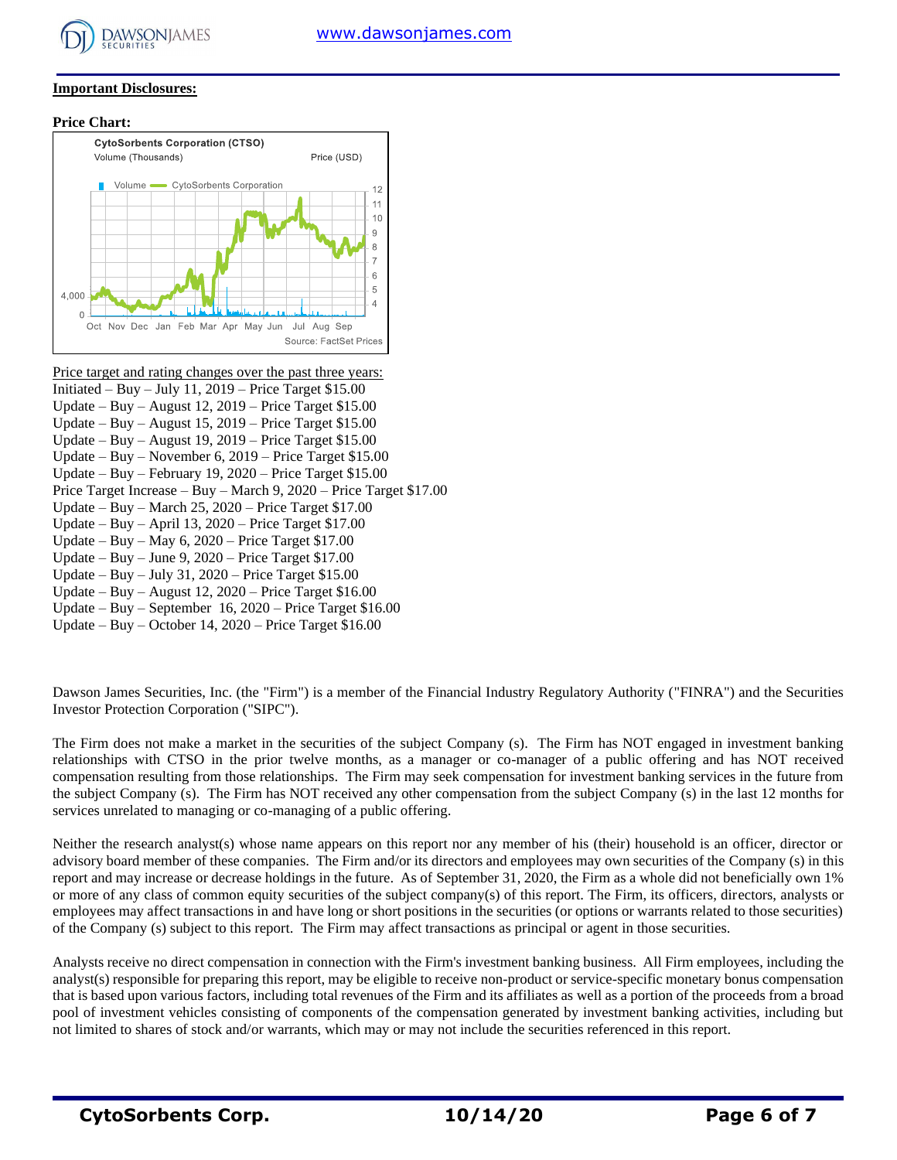

#### **Important Disclosures:**

**Price Chart:**



Price target and rating changes over the past three years: Initiated – Buy – July 11,  $2019$  – Price Target \$15.00 Update – Buy – August 12, 2019 – Price Target \$15.00 Update – Buy – August 15, 2019 – Price Target \$15.00 Update – Buy – August 19, 2019 – Price Target \$15.00 Update – Buy – November 6, 2019 – Price Target \$15.00 Update – Buy – February 19, 2020 – Price Target \$15.00 Price Target Increase – Buy – March 9, 2020 – Price Target \$17.00 Update – Buy – March 25, 2020 – Price Target \$17.00 Update – Buy – April 13, 2020 – Price Target \$17.00 Update – Buy – May 6, 2020 – Price Target \$17.00 Update – Buy – June 9, 2020 – Price Target \$17.00 Update – Buy – July 31, 2020 – Price Target \$15.00 Update – Buy – August 12, 2020 – Price Target \$16.00 Update – Buy – September 16, 2020 – Price Target \$16.00 Update – Buy – October 14, 2020 – Price Target \$16.00

Dawson James Securities, Inc. (the "Firm") is a member of the Financial Industry Regulatory Authority ("FINRA") and the Securities Investor Protection Corporation ("SIPC").

The Firm does not make a market in the securities of the subject Company (s). The Firm has NOT engaged in investment banking relationships with CTSO in the prior twelve months, as a manager or co-manager of a public offering and has NOT received compensation resulting from those relationships. The Firm may seek compensation for investment banking services in the future from the subject Company (s). The Firm has NOT received any other compensation from the subject Company (s) in the last 12 months for services unrelated to managing or co-managing of a public offering.

Neither the research analyst(s) whose name appears on this report nor any member of his (their) household is an officer, director or advisory board member of these companies. The Firm and/or its directors and employees may own securities of the Company (s) in this report and may increase or decrease holdings in the future. As of September 31, 2020, the Firm as a whole did not beneficially own 1% or more of any class of common equity securities of the subject company(s) of this report. The Firm, its officers, directors, analysts or employees may affect transactions in and have long or short positions in the securities (or options or warrants related to those securities) of the Company (s) subject to this report. The Firm may affect transactions as principal or agent in those securities.

Analysts receive no direct compensation in connection with the Firm's investment banking business. All Firm employees, including the analyst(s) responsible for preparing this report, may be eligible to receive non-product or service-specific monetary bonus compensation that is based upon various factors, including total revenues of the Firm and its affiliates as well as a portion of the proceeds from a broad pool of investment vehicles consisting of components of the compensation generated by investment banking activities, including but not limited to shares of stock and/or warrants, which may or may not include the securities referenced in this report.